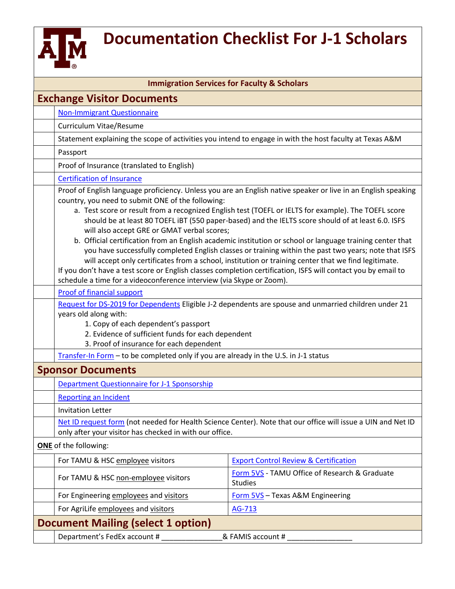

## **Documentation Checklist For J-1 Scholars**

| <b>Immigration Services for Faculty &amp; Scholars</b> |                                                                                                                                                                                                                                                                                                                                                                                                                                                                                                                                                                                                                                                                                                                                                                                                                                                                                                                                                                                                                                                                                                                                                                                                                                                                   |                                                                                                         |  |
|--------------------------------------------------------|-------------------------------------------------------------------------------------------------------------------------------------------------------------------------------------------------------------------------------------------------------------------------------------------------------------------------------------------------------------------------------------------------------------------------------------------------------------------------------------------------------------------------------------------------------------------------------------------------------------------------------------------------------------------------------------------------------------------------------------------------------------------------------------------------------------------------------------------------------------------------------------------------------------------------------------------------------------------------------------------------------------------------------------------------------------------------------------------------------------------------------------------------------------------------------------------------------------------------------------------------------------------|---------------------------------------------------------------------------------------------------------|--|
| <b>Exchange Visitor Documents</b>                      |                                                                                                                                                                                                                                                                                                                                                                                                                                                                                                                                                                                                                                                                                                                                                                                                                                                                                                                                                                                                                                                                                                                                                                                                                                                                   |                                                                                                         |  |
|                                                        | <b>Non-Immigrant Questionnaire</b>                                                                                                                                                                                                                                                                                                                                                                                                                                                                                                                                                                                                                                                                                                                                                                                                                                                                                                                                                                                                                                                                                                                                                                                                                                |                                                                                                         |  |
|                                                        | Curriculum Vitae/Resume                                                                                                                                                                                                                                                                                                                                                                                                                                                                                                                                                                                                                                                                                                                                                                                                                                                                                                                                                                                                                                                                                                                                                                                                                                           |                                                                                                         |  |
|                                                        |                                                                                                                                                                                                                                                                                                                                                                                                                                                                                                                                                                                                                                                                                                                                                                                                                                                                                                                                                                                                                                                                                                                                                                                                                                                                   | Statement explaining the scope of activities you intend to engage in with the host faculty at Texas A&M |  |
|                                                        | Passport                                                                                                                                                                                                                                                                                                                                                                                                                                                                                                                                                                                                                                                                                                                                                                                                                                                                                                                                                                                                                                                                                                                                                                                                                                                          |                                                                                                         |  |
|                                                        | Proof of Insurance (translated to English)                                                                                                                                                                                                                                                                                                                                                                                                                                                                                                                                                                                                                                                                                                                                                                                                                                                                                                                                                                                                                                                                                                                                                                                                                        |                                                                                                         |  |
|                                                        | <b>Certification of Insurance</b>                                                                                                                                                                                                                                                                                                                                                                                                                                                                                                                                                                                                                                                                                                                                                                                                                                                                                                                                                                                                                                                                                                                                                                                                                                 |                                                                                                         |  |
|                                                        | Proof of English language proficiency. Unless you are an English native speaker or live in an English speaking<br>country, you need to submit ONE of the following:<br>a. Test score or result from a recognized English test (TOEFL or IELTS for example). The TOEFL score<br>should be at least 80 TOEFL IBT (550 paper-based) and the IELTS score should of at least 6.0. ISFS<br>will also accept GRE or GMAT verbal scores;<br>b. Official certification from an English academic institution or school or language training center that<br>you have successfully completed English classes or training within the past two years; note that ISFS<br>will accept only certificates from a school, institution or training center that we find legitimate.<br>If you don't have a test score or English classes completion certification, ISFS will contact you by email to<br>schedule a time for a videoconference interview (via Skype or Zoom).<br>Proof of financial support<br>Request for DS-2019 for Dependents Eligible J-2 dependents are spouse and unmarried children under 21<br>years old along with:<br>1. Copy of each dependent's passport<br>2. Evidence of sufficient funds for each dependent<br>3. Proof of insurance for each dependent |                                                                                                         |  |
|                                                        | Transfer-In Form - to be completed only if you are already in the U.S. in J-1 status                                                                                                                                                                                                                                                                                                                                                                                                                                                                                                                                                                                                                                                                                                                                                                                                                                                                                                                                                                                                                                                                                                                                                                              |                                                                                                         |  |
| <b>Sponsor Documents</b>                               |                                                                                                                                                                                                                                                                                                                                                                                                                                                                                                                                                                                                                                                                                                                                                                                                                                                                                                                                                                                                                                                                                                                                                                                                                                                                   |                                                                                                         |  |
|                                                        | <b>Department Questionnaire for J-1 Sponsorship</b>                                                                                                                                                                                                                                                                                                                                                                                                                                                                                                                                                                                                                                                                                                                                                                                                                                                                                                                                                                                                                                                                                                                                                                                                               |                                                                                                         |  |
|                                                        | <b>Reporting an Incident</b>                                                                                                                                                                                                                                                                                                                                                                                                                                                                                                                                                                                                                                                                                                                                                                                                                                                                                                                                                                                                                                                                                                                                                                                                                                      |                                                                                                         |  |
|                                                        | <b>Invitation Letter</b>                                                                                                                                                                                                                                                                                                                                                                                                                                                                                                                                                                                                                                                                                                                                                                                                                                                                                                                                                                                                                                                                                                                                                                                                                                          |                                                                                                         |  |
|                                                        | Net ID request form (not needed for Health Science Center). Note that our office will issue a UIN and Net ID<br>only after your visitor has checked in with our office.                                                                                                                                                                                                                                                                                                                                                                                                                                                                                                                                                                                                                                                                                                                                                                                                                                                                                                                                                                                                                                                                                           |                                                                                                         |  |
| <b>ONE</b> of the following:                           |                                                                                                                                                                                                                                                                                                                                                                                                                                                                                                                                                                                                                                                                                                                                                                                                                                                                                                                                                                                                                                                                                                                                                                                                                                                                   |                                                                                                         |  |
|                                                        | For TAMU & HSC employee visitors                                                                                                                                                                                                                                                                                                                                                                                                                                                                                                                                                                                                                                                                                                                                                                                                                                                                                                                                                                                                                                                                                                                                                                                                                                  | <b>Export Control Review &amp; Certification</b>                                                        |  |
|                                                        | For TAMU & HSC non-employee visitors                                                                                                                                                                                                                                                                                                                                                                                                                                                                                                                                                                                                                                                                                                                                                                                                                                                                                                                                                                                                                                                                                                                                                                                                                              | Form 5VS - TAMU Office of Research & Graduate<br><b>Studies</b>                                         |  |
|                                                        | For Engineering employees and visitors                                                                                                                                                                                                                                                                                                                                                                                                                                                                                                                                                                                                                                                                                                                                                                                                                                                                                                                                                                                                                                                                                                                                                                                                                            | Form 5VS - Texas A&M Engineering                                                                        |  |
|                                                        | For AgriLife employees and visitors                                                                                                                                                                                                                                                                                                                                                                                                                                                                                                                                                                                                                                                                                                                                                                                                                                                                                                                                                                                                                                                                                                                                                                                                                               | AG-713                                                                                                  |  |
| <b>Document Mailing (select 1 option)</b>              |                                                                                                                                                                                                                                                                                                                                                                                                                                                                                                                                                                                                                                                                                                                                                                                                                                                                                                                                                                                                                                                                                                                                                                                                                                                                   |                                                                                                         |  |
|                                                        | Department's FedEx account #<br>& FAMIS account # ______________                                                                                                                                                                                                                                                                                                                                                                                                                                                                                                                                                                                                                                                                                                                                                                                                                                                                                                                                                                                                                                                                                                                                                                                                  |                                                                                                         |  |